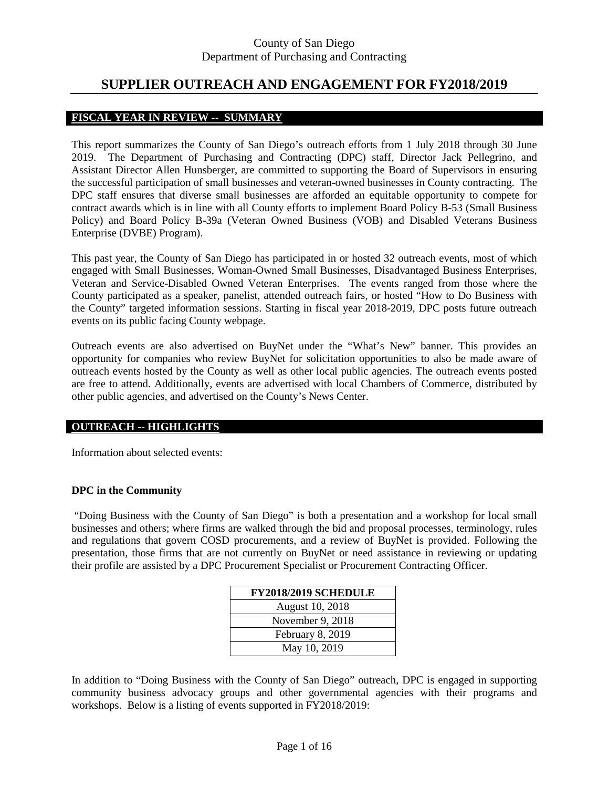## **SUPPLIER OUTREACH AND ENGAGEMENT FOR FY2018/2019**

#### **FISCAL YEAR IN REVIEW -- SUMMARY**

This report summarizes the County of San Diego's outreach efforts from 1 July 2018 through 30 June 2019. The Department of Purchasing and Contracting (DPC) staff, Director Jack Pellegrino, and Assistant Director Allen Hunsberger, are committed to supporting the Board of Supervisors in ensuring the successful participation of small businesses and veteran-owned businesses in County contracting. The DPC staff ensures that diverse small businesses are afforded an equitable opportunity to compete for contract awards which is in line with all County efforts to implement Board Policy B-53 (Small Business Policy) and Board Policy B-39a (Veteran Owned Business (VOB) and Disabled Veterans Business Enterprise (DVBE) Program).

This past year, the County of San Diego has participated in or hosted 32 outreach events, most of which engaged with Small Businesses, Woman-Owned Small Businesses, Disadvantaged Business Enterprises, Veteran and Service-Disabled Owned Veteran Enterprises. The events ranged from those where the County participated as a speaker, panelist, attended outreach fairs, or hosted "How to Do Business with the County" targeted information sessions. Starting in fiscal year 2018-2019, DPC posts future outreach events on its public facing County webpage.

Outreach events are also advertised on BuyNet under the "What's New" banner. This provides an opportunity for companies who review BuyNet for solicitation opportunities to also be made aware of outreach events hosted by the County as well as other local public agencies. The outreach events posted are free to attend. Additionally, events are advertised with local Chambers of Commerce, distributed by other public agencies, and advertised on the County's News Center.

#### **OUTREACH -- HIGHLIGHTS**

Information about selected events:

#### **DPC in the Community**

"Doing Business with the County of San Diego" is both a presentation and a workshop for local small businesses and others; where firms are walked through the bid and proposal processes, terminology, rules and regulations that govern COSD procurements, and a review of BuyNet is provided. Following the presentation, those firms that are not currently on BuyNet or need assistance in reviewing or updating their profile are assisted by a DPC Procurement Specialist or Procurement Contracting Officer.

| <b>FY2018/2019 SCHEDULE</b> |
|-----------------------------|
| August 10, 2018             |
| November 9, 2018            |
| February 8, 2019            |
| May 10, 2019                |

In addition to "Doing Business with the County of San Diego" outreach, DPC is engaged in supporting community business advocacy groups and other governmental agencies with their programs and workshops. Below is a listing of events supported in FY2018/2019: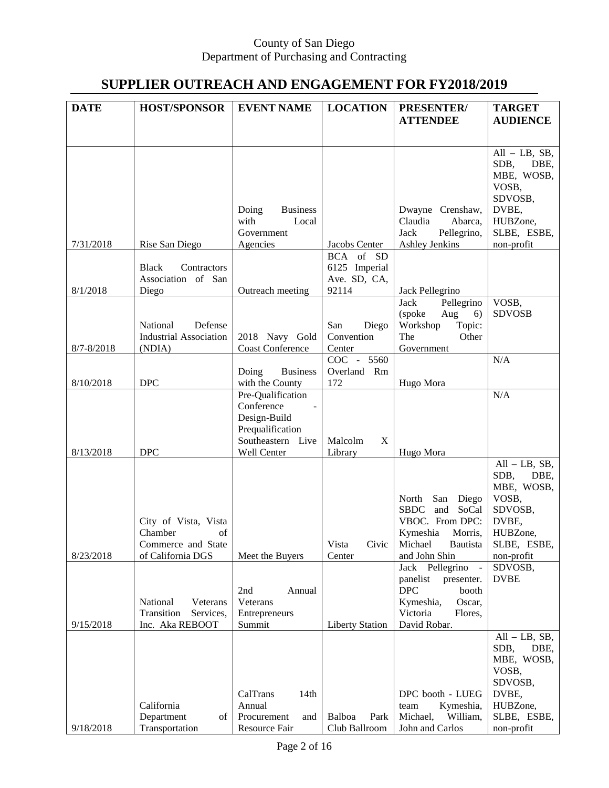# **SUPPLIER OUTREACH AND ENGAGEMENT FOR FY2018/2019**

| <b>DATE</b> | <b>HOST/SPONSOR</b>           | <b>EVENT NAME</b>                           | <b>LOCATION</b>        | PRESENTER/                                  | <b>TARGET</b>             |
|-------------|-------------------------------|---------------------------------------------|------------------------|---------------------------------------------|---------------------------|
|             |                               |                                             |                        |                                             |                           |
|             |                               |                                             |                        | <b>ATTENDEE</b>                             | <b>AUDIENCE</b>           |
|             |                               |                                             |                        |                                             |                           |
|             |                               |                                             |                        |                                             | $All - LB, SB,$           |
|             |                               |                                             |                        |                                             | SDB,<br>DBE,              |
|             |                               |                                             |                        |                                             | MBE, WOSB,                |
|             |                               |                                             |                        |                                             | VOSB,                     |
|             |                               |                                             |                        |                                             | SDVOSB,                   |
|             |                               | Doing<br><b>Business</b>                    |                        | Dwayne Crenshaw,                            | DVBE,                     |
|             |                               | with<br>Local                               |                        | Claudia<br>Abarca,                          | HUBZone,                  |
| 7/31/2018   |                               | Government                                  | Jacobs Center          | Jack<br>Pellegrino,<br>Ashley Jenkins       | SLBE, ESBE,<br>non-profit |
|             | Rise San Diego                | Agencies                                    | BCA of SD              |                                             |                           |
|             | <b>Black</b><br>Contractors   |                                             | 6125 Imperial          |                                             |                           |
|             | Association of San            |                                             | Ave. SD, CA,           |                                             |                           |
| 8/1/2018    | Diego                         | Outreach meeting                            | 92114                  | Jack Pellegrino                             |                           |
|             |                               |                                             |                        | <b>Jack</b><br>Pellegrino                   | VOSB,                     |
|             |                               |                                             |                        | (spoke<br>Aug<br>6)                         | <b>SDVOSB</b>             |
|             | National<br>Defense           |                                             | San<br>Diego           | Workshop<br>Topic:                          |                           |
|             | <b>Industrial Association</b> | 2018 Navy Gold                              | Convention             | The<br>Other                                |                           |
| 8/7-8/2018  | (NDIA)                        | <b>Coast Conference</b>                     | Center                 | Government                                  |                           |
|             |                               |                                             | COC - 5560             |                                             | N/A                       |
| 8/10/2018   | <b>DPC</b>                    | <b>Business</b><br>Doing<br>with the County | Overland Rm<br>172     | Hugo Mora                                   |                           |
|             |                               | Pre-Qualification                           |                        |                                             | N/A                       |
|             |                               | Conference                                  |                        |                                             |                           |
|             |                               | Design-Build                                |                        |                                             |                           |
|             |                               | Prequalification                            |                        |                                             |                           |
|             |                               | Southeastern Live                           | Malcolm<br>X           |                                             |                           |
| 8/13/2018   | <b>DPC</b>                    | Well Center                                 | Library                | Hugo Mora                                   |                           |
|             |                               |                                             |                        |                                             | $All - LB, SB,$           |
|             |                               |                                             |                        |                                             | SDB,<br>DBE,              |
|             |                               |                                             |                        | North                                       | MBE, WOSB,                |
|             |                               |                                             |                        | San<br>Diego<br><b>SBDC</b><br>and<br>SoCal | VOSB,<br>SDVOSB,          |
|             | City of Vista, Vista          |                                             |                        | VBOC. From DPC:                             | DVBE,                     |
|             | Chamber<br>of                 |                                             |                        | Kymeshia<br>Morris,                         | HUBZone,                  |
|             | Commerce and State            |                                             | Vista<br>Civic         | Michael<br>Bautista                         | SLBE, ESBE,               |
| 8/23/2018   | of California DGS             | Meet the Buyers                             | Center                 | and John Shin                               | non-profit                |
|             |                               |                                             |                        | Pellegrino<br>Jack                          | SDVOSB,                   |
|             |                               |                                             |                        | panelist<br>presenter.                      | <b>DVBE</b>               |
|             |                               | 2nd<br>Annual                               |                        | <b>DPC</b><br>booth                         |                           |
|             | National<br>Veterans          | Veterans                                    |                        | Kymeshia,<br>Oscar,                         |                           |
|             | Transition<br>Services,       | Entrepreneurs                               |                        | Victoria<br>Flores,                         |                           |
| 9/15/2018   | Inc. Aka REBOOT               | Summit                                      | <b>Liberty Station</b> | David Robar.                                | $All - LB, SB,$           |
|             |                               |                                             |                        |                                             | SDB,<br>DBE,              |
|             |                               |                                             |                        |                                             | MBE, WOSB,                |
|             |                               |                                             |                        |                                             | VOSB,                     |
|             |                               |                                             |                        |                                             | SDVOSB,                   |
|             |                               | CalTrans<br>14th                            |                        | DPC booth - LUEG                            | DVBE,                     |
|             | California                    | Annual                                      |                        | team<br>Kymeshia,                           | HUBZone,                  |
|             | Department<br>οf              | Procurement<br>and                          | Balboa<br>Park         | Michael,<br>William,                        | SLBE, ESBE,               |
| 9/18/2018   | Transportation                | Resource Fair                               | Club Ballroom          | John and Carlos                             | non-profit                |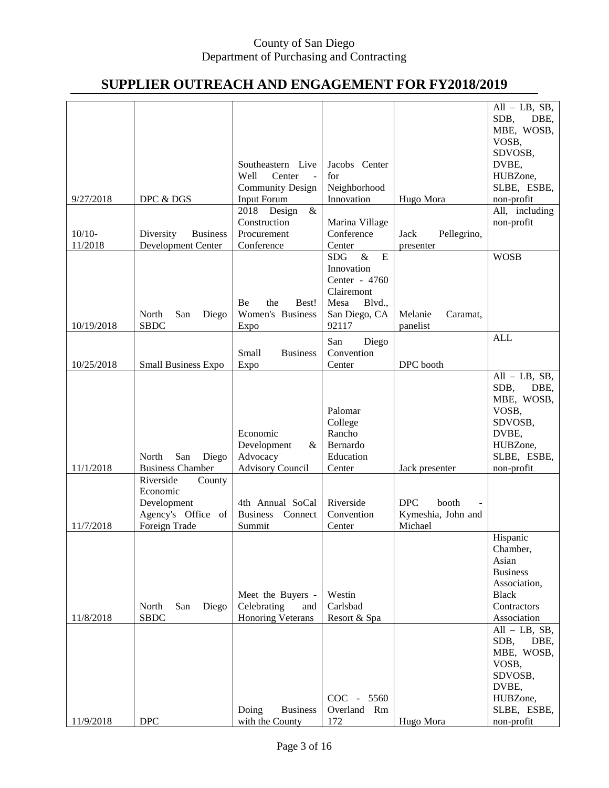# **SUPPLIER OUTREACH AND ENGAGEMENT FOR FY2018/2019**

|            |                                   |                                  |                         |                     | $All - LB, SB,$ |
|------------|-----------------------------------|----------------------------------|-------------------------|---------------------|-----------------|
|            |                                   |                                  |                         |                     | SDB,<br>DBE,    |
|            |                                   |                                  |                         |                     | MBE, WOSB,      |
|            |                                   |                                  |                         |                     | VOSB,           |
|            |                                   |                                  |                         |                     | SDVOSB,         |
|            |                                   | Southeastern Live                | Jacobs Center           |                     | DVBE,           |
|            |                                   | Well<br>Center<br>$\blacksquare$ | for                     |                     | HUBZone,        |
|            |                                   | <b>Community Design</b>          | Neighborhood            |                     | SLBE, ESBE,     |
| 9/27/2018  | DPC & DGS                         | Input Forum                      | Innovation              | Hugo Mora           | non-profit      |
|            |                                   | 2018 Design<br>$\&$              |                         |                     | All, including  |
|            |                                   | Construction                     | Marina Village          |                     | non-profit      |
| $10/10-$   | <b>Business</b><br>Diversity      | Procurement                      | Conference              | Jack<br>Pellegrino, |                 |
| 11/2018    | Development Center                | Conference                       | Center                  | presenter           |                 |
|            |                                   |                                  | $\&$<br>E<br><b>SDG</b> |                     | <b>WOSB</b>     |
|            |                                   |                                  | Innovation              |                     |                 |
|            |                                   |                                  | Center - 4760           |                     |                 |
|            |                                   |                                  | Clairemont              |                     |                 |
|            |                                   | Be<br>the<br>Best!               | Blvd.,<br>Mesa          |                     |                 |
|            | North<br>San<br>Diego             | Women's Business                 | San Diego, CA           | Melanie<br>Caramat, |                 |
| 10/19/2018 | <b>SBDC</b>                       | Expo                             | 92117                   | panelist            |                 |
|            |                                   |                                  | San<br>Diego            |                     | <b>ALL</b>      |
|            |                                   | Small<br><b>Business</b>         | Convention              |                     |                 |
| 10/25/2018 | <b>Small Business Expo</b>        | Expo                             | Center                  | DPC booth           |                 |
|            |                                   |                                  |                         |                     | $All - LB, SB,$ |
|            |                                   |                                  |                         |                     | SDB,<br>DBE,    |
|            |                                   |                                  |                         |                     | MBE, WOSB,      |
|            |                                   |                                  | Palomar                 |                     | VOSB,           |
|            |                                   |                                  | College                 |                     | SDVOSB,         |
|            |                                   | Economic                         | Rancho                  |                     | DVBE,           |
|            |                                   | $\&$                             | Bernardo                |                     | HUBZone,        |
|            | San<br>North                      | Development<br>Advocacy          | Education               |                     | SLBE, ESBE,     |
| 11/1/2018  | Diego<br><b>Business Chamber</b>  | <b>Advisory Council</b>          | Center                  |                     | non-profit      |
|            | Riverside<br>County               |                                  |                         | Jack presenter      |                 |
|            |                                   |                                  |                         |                     |                 |
|            | Economic                          | 4th Annual SoCal                 | Riverside               | <b>DPC</b><br>booth |                 |
|            | Development<br>Agency's Office of | <b>Business</b><br>Connect       | Convention              | Kymeshia, John and  |                 |
|            |                                   |                                  |                         |                     |                 |
| 11/7/2018  | Foreign Trade                     | Summit                           | Center                  | Michael             |                 |
|            |                                   |                                  |                         |                     | Hispanic        |
|            |                                   |                                  |                         |                     | Chamber,        |
|            |                                   |                                  |                         |                     | Asian           |
|            |                                   |                                  |                         |                     | <b>Business</b> |
|            |                                   |                                  |                         |                     | Association,    |
|            |                                   | Meet the Buyers -                | Westin                  |                     | <b>Black</b>    |
|            | Diego<br>North<br>San             | Celebrating<br>and               | Carlsbad                |                     | Contractors     |
| 11/8/2018  | <b>SBDC</b>                       | <b>Honoring Veterans</b>         | Resort & Spa            |                     | Association     |
|            |                                   |                                  |                         |                     | $All - LB, SB,$ |
|            |                                   |                                  |                         |                     | SDB,<br>DBE,    |
|            |                                   |                                  |                         |                     | MBE, WOSB,      |
|            |                                   |                                  |                         |                     | VOSB,           |
|            |                                   |                                  |                         |                     | SDVOSB,         |
|            |                                   |                                  |                         |                     | DVBE,           |
|            |                                   |                                  | COC - 5560              |                     | HUBZone,        |
|            |                                   | Doing<br><b>Business</b>         | Overland Rm             |                     | SLBE, ESBE,     |
| 11/9/2018  | <b>DPC</b>                        | with the County                  | 172                     | Hugo Mora           | non-profit      |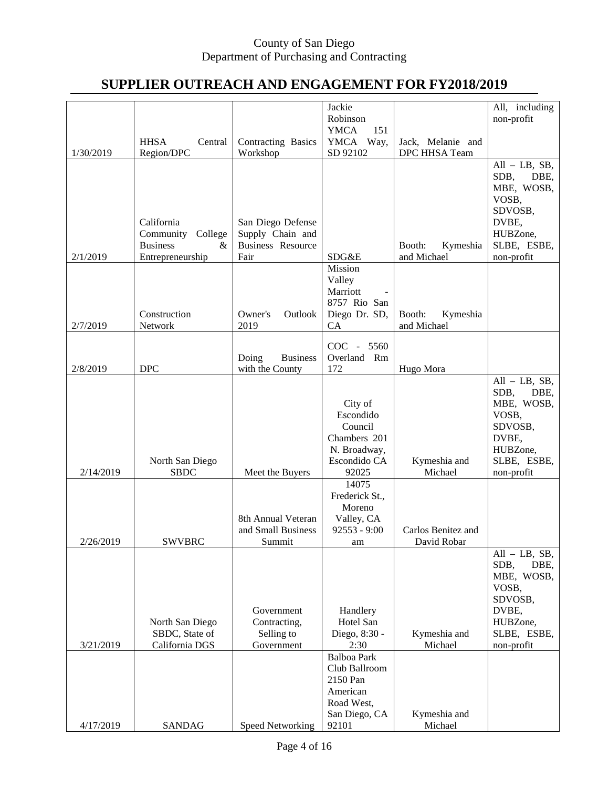# **SUPPLIER OUTREACH AND ENGAGEMENT FOR FY2018/2019**

|           |                         |                                             | Jackie                              |                                   | All, including                  |
|-----------|-------------------------|---------------------------------------------|-------------------------------------|-----------------------------------|---------------------------------|
|           |                         |                                             | Robinson<br><b>YMCA</b><br>151      |                                   | non-profit                      |
|           | <b>HHSA</b><br>Central  | Contracting Basics                          | YMCA Way,                           | Jack, Melanie and                 |                                 |
| 1/30/2019 | Region/DPC              | Workshop                                    | SD 92102                            | DPC HHSA Team                     |                                 |
|           |                         |                                             |                                     |                                   | $All - LB, SB,$<br>SDB,<br>DBE, |
|           |                         |                                             |                                     |                                   | MBE, WOSB,                      |
|           |                         |                                             |                                     |                                   | VOSB,                           |
|           | California              | San Diego Defense                           |                                     |                                   | SDVOSB,<br>DVBE,                |
|           | Community<br>College    | Supply Chain and                            |                                     |                                   | HUBZone,                        |
|           | <b>Business</b><br>&    | <b>Business Resource</b>                    |                                     | Kymeshia<br>Booth:                | SLBE, ESBE,                     |
| 2/1/2019  | Entrepreneurship        | Fair                                        | SDG&E                               | and Michael                       | non-profit                      |
|           |                         |                                             | Mission<br>Valley                   |                                   |                                 |
|           |                         |                                             | Marriott                            |                                   |                                 |
|           |                         |                                             | 8757 Rio San                        |                                   |                                 |
| 2/7/2019  | Construction<br>Network | Owner's<br>Outlook<br>2019                  | Diego Dr. SD,<br>CA                 | Booth:<br>Kymeshia<br>and Michael |                                 |
|           |                         |                                             |                                     |                                   |                                 |
|           |                         |                                             | $COC -$<br>5560                     |                                   |                                 |
| 2/8/2019  | <b>DPC</b>              | Doing<br><b>Business</b><br>with the County | Overland<br>Rm<br>172               | Hugo Mora                         |                                 |
|           |                         |                                             |                                     |                                   | $All - LB, SB,$                 |
|           |                         |                                             |                                     |                                   | SDB,<br>DBE,                    |
|           |                         |                                             | City of<br>Escondido                |                                   | MBE, WOSB,<br>VOSB,             |
|           |                         |                                             | Council                             |                                   | SDVOSB,                         |
|           |                         |                                             | Chambers 201                        |                                   | DVBE,                           |
|           | North San Diego         |                                             | N. Broadway,<br>Escondido CA        | Kymeshia and                      | HUBZone,<br>SLBE, ESBE,         |
| 2/14/2019 | <b>SBDC</b>             | Meet the Buyers                             | 92025                               | Michael                           | non-profit                      |
|           |                         |                                             | 14075                               |                                   |                                 |
|           |                         |                                             | Frederick St.,                      |                                   |                                 |
|           |                         | 8th Annual Veteran                          | Moreno<br>Valley, CA                |                                   |                                 |
|           |                         | and Small Business                          | $92553 - 9:00$                      | Carlos Benitez and                |                                 |
| 2/26/2019 | <b>SWVBRC</b>           | Summit                                      | am                                  | David Robar                       |                                 |
|           |                         |                                             |                                     |                                   | $All - LB, SB,$<br>SDB,<br>DBE, |
|           |                         |                                             |                                     |                                   | MBE, WOSB,                      |
|           |                         |                                             |                                     |                                   | VOSB,                           |
|           |                         |                                             |                                     |                                   | SDVOSB,                         |
|           | North San Diego         | Government<br>Contracting,                  | Handlery<br>Hotel San               |                                   | DVBE,<br>HUBZone,               |
|           | SBDC, State of          | Selling to                                  | Diego, 8:30 -                       | Kymeshia and                      | SLBE, ESBE,                     |
| 3/21/2019 | California DGS          | Government                                  | 2:30                                | Michael                           | non-profit                      |
|           |                         |                                             | <b>Balboa Park</b><br>Club Ballroom |                                   |                                 |
|           |                         |                                             | 2150 Pan                            |                                   |                                 |
|           |                         |                                             | American                            |                                   |                                 |
|           |                         |                                             | Road West,                          |                                   |                                 |
| 4/17/2019 | <b>SANDAG</b>           | Speed Networking                            | San Diego, CA<br>92101              | Kymeshia and<br>Michael           |                                 |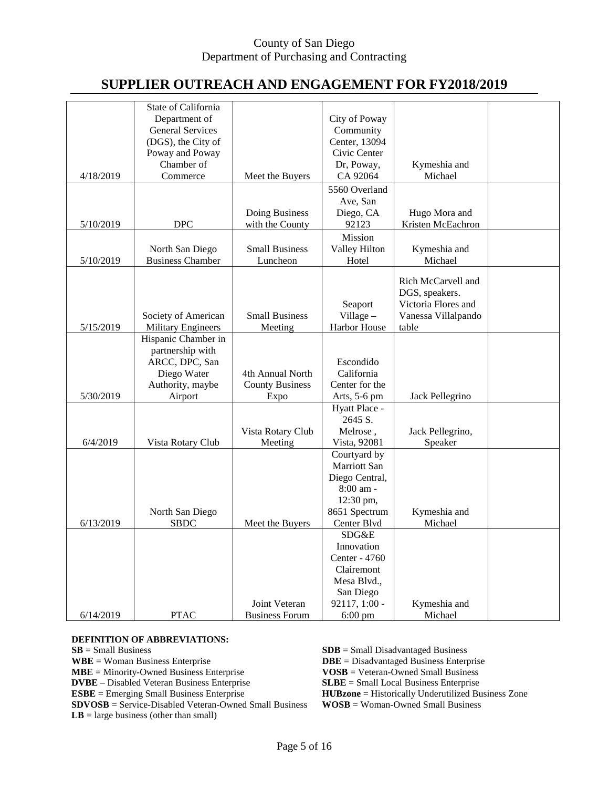# **SUPPLIER OUTREACH AND ENGAGEMENT FOR FY2018/2019**

|           | State of California       |                        |                      |                     |  |
|-----------|---------------------------|------------------------|----------------------|---------------------|--|
|           | Department of             |                        | City of Poway        |                     |  |
|           | <b>General Services</b>   |                        | Community            |                     |  |
|           | (DGS), the City of        |                        | Center, 13094        |                     |  |
|           | Poway and Poway           |                        | Civic Center         |                     |  |
|           | Chamber of                |                        | Dr, Poway,           | Kymeshia and        |  |
| 4/18/2019 | Commerce                  | Meet the Buyers        | CA 92064             | Michael             |  |
|           |                           |                        |                      |                     |  |
|           |                           |                        | 5560 Overland        |                     |  |
|           |                           |                        | Ave, San             |                     |  |
|           |                           | Doing Business         | Diego, CA            | Hugo Mora and       |  |
| 5/10/2019 | <b>DPC</b>                | with the County        | 92123                | Kristen McEachron   |  |
|           |                           |                        | Mission              |                     |  |
|           | North San Diego           | <b>Small Business</b>  | <b>Valley Hilton</b> | Kymeshia and        |  |
| 5/10/2019 | <b>Business Chamber</b>   | Luncheon               | Hotel                | Michael             |  |
|           |                           |                        |                      |                     |  |
|           |                           |                        |                      | Rich McCarvell and  |  |
|           |                           |                        |                      | DGS, speakers.      |  |
|           |                           |                        | Seaport              | Victoria Flores and |  |
|           | Society of American       | <b>Small Business</b>  | Village $-$          | Vanessa Villalpando |  |
| 5/15/2019 | <b>Military Engineers</b> | Meeting                | Harbor House         | table               |  |
|           | Hispanic Chamber in       |                        |                      |                     |  |
|           | partnership with          |                        |                      |                     |  |
|           | ARCC, DPC, San            |                        | Escondido            |                     |  |
|           | Diego Water               | 4th Annual North       | California           |                     |  |
|           |                           |                        | Center for the       |                     |  |
|           | Authority, maybe          | <b>County Business</b> |                      |                     |  |
| 5/30/2019 | Airport                   | Expo                   | Arts, 5-6 pm         | Jack Pellegrino     |  |
|           |                           |                        | Hyatt Place -        |                     |  |
|           |                           |                        | 2645 S.              |                     |  |
|           |                           | Vista Rotary Club      | Melrose,             | Jack Pellegrino,    |  |
| 6/4/2019  | Vista Rotary Club         | Meeting                | Vista, 92081         | Speaker             |  |
|           |                           |                        | Courtyard by         |                     |  |
|           |                           |                        | Marriott San         |                     |  |
|           |                           |                        | Diego Central,       |                     |  |
|           |                           |                        | 8:00 am -            |                     |  |
|           |                           |                        | 12:30 pm,            |                     |  |
|           | North San Diego           |                        | 8651 Spectrum        | Kymeshia and        |  |
| 6/13/2019 | <b>SBDC</b>               | Meet the Buyers        | Center Blvd          | Michael             |  |
|           |                           |                        | SDG&E                |                     |  |
|           |                           |                        | Innovation           |                     |  |
|           |                           |                        | Center - 4760        |                     |  |
|           |                           |                        | Clairemont           |                     |  |
|           |                           |                        |                      |                     |  |
|           |                           |                        | Mesa Blvd.,          |                     |  |
|           |                           |                        | San Diego            |                     |  |
|           |                           | Joint Veteran          | 92117, 1:00 -        | Kymeshia and        |  |
| 6/14/2019 | <b>PTAC</b>               | <b>Business Forum</b>  | $6:00 \text{ pm}$    | Michael             |  |

**DEFINITION OF ABBREVIATIONS:**<br>**SB** = Small Business **SB** = Small Business<br> **SDB** = Small Disadvantaged Business<br> **SDB** = Small Disadvantaged Business<br> **SDB** = Disadvantaged Business<br> **SDB** = Disadvantaged Business<br> **SDB** = Disadvantaged Business **DBE** = Disadvantaged Business Enterprise<br>**VOSB** = Veteran-Owned Small Business **MBE** = Minority-Owned Business Enterprise **VOSB** = Veteran-Owned Small Business<br> **DVBE** – Disabled Veteran Business Enterprise **SLBE** = Small Local Business Enterprise **DVBE** – Disabled Veteran Business Enterprise<br>**ESBE** = Emerging Small Business Enterprise **ESBE** = Historically Underutilized Business Zone<br>**WOSB** = Woman-Owned Small Business **SDVOSB** = Service-Disabled Veteran-Owned Small Business **LB** = large business (other than small)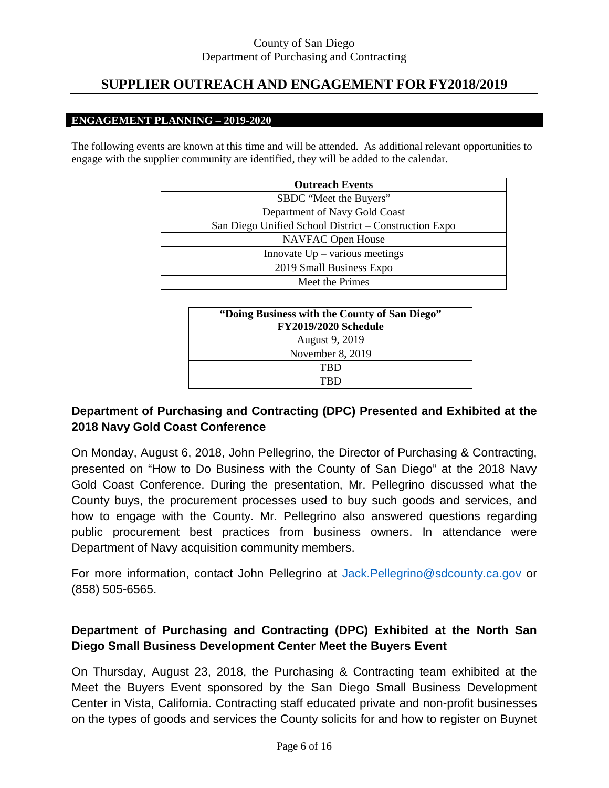# **SUPPLIER OUTREACH AND ENGAGEMENT FOR FY2018/2019**

#### **ENGAGEMENT PLANNING – 2019-2020**

The following events are known at this time and will be attended. As additional relevant opportunities to engage with the supplier community are identified, they will be added to the calendar.

| <b>Outreach Events</b>                                |
|-------------------------------------------------------|
| SBDC "Meet the Buyers"                                |
| Department of Navy Gold Coast                         |
| San Diego Unified School District – Construction Expo |
| <b>NAVFAC Open House</b>                              |
| Innovate $Up - \overline{various}$ meetings           |
| 2019 Small Business Expo                              |
| Meet the Primes                                       |

| "Doing Business with the County of San Diego"<br><b>FY2019/2020 Schedule</b> |
|------------------------------------------------------------------------------|
| August 9, 2019                                                               |
| November 8, 2019                                                             |
| TRD                                                                          |
|                                                                              |

### **Department of Purchasing and Contracting (DPC) Presented and Exhibited at the 2018 Navy Gold Coast Conference**

On Monday, August 6, 2018, John Pellegrino, the Director of Purchasing & Contracting, presented on "How to Do Business with the County of San Diego" at the 2018 Navy Gold Coast Conference. During the presentation, Mr. Pellegrino discussed what the County buys, the procurement processes used to buy such goods and services, and how to engage with the County. Mr. Pellegrino also answered questions regarding public procurement best practices from business owners. In attendance were Department of Navy acquisition community members.

For more information, contact John Pellegrino at [Jack.Pellegrino@sdcounty.ca.gov](mailto:Jack.Pellegrino@sdcounty.ca.gov) or (858) 505-6565.

## **Department of Purchasing and Contracting (DPC) Exhibited at the North San Diego Small Business Development Center Meet the Buyers Event**

On Thursday, August 23, 2018, the Purchasing & Contracting team exhibited at the Meet the Buyers Event sponsored by the San Diego Small Business Development Center in Vista, California. Contracting staff educated private and non-profit businesses on the types of goods and services the County solicits for and how to register on Buynet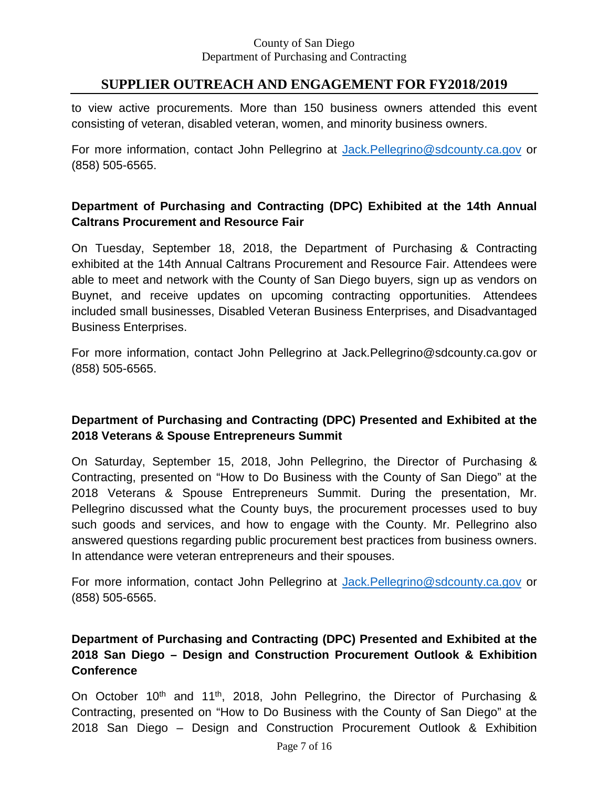# **SUPPLIER OUTREACH AND ENGAGEMENT FOR FY2018/2019**

to view active procurements. More than 150 business owners attended this event consisting of veteran, disabled veteran, women, and minority business owners.

For more information, contact John Pellegrino at [Jack.Pellegrino@sdcounty.ca.gov](mailto:Jack.Pellegrino@sdcounty.ca.gov) or (858) 505-6565.

## **Department of Purchasing and Contracting (DPC) Exhibited at the 14th Annual Caltrans Procurement and Resource Fair**

On Tuesday, September 18, 2018, the Department of Purchasing & Contracting exhibited at the 14th Annual Caltrans Procurement and Resource Fair. Attendees were able to meet and network with the County of San Diego buyers, sign up as vendors on Buynet, and receive updates on upcoming contracting opportunities. Attendees included small businesses, Disabled Veteran Business Enterprises, and Disadvantaged Business Enterprises.

For more information, contact John Pellegrino at [Jack.Pellegrino@sdcounty.ca.gov](mailto:Jack.Pellegrino@sdcounty.ca.gov) or (858) 505-6565.

## **Department of Purchasing and Contracting (DPC) Presented and Exhibited at the 2018 Veterans & Spouse Entrepreneurs Summit**

On Saturday, September 15, 2018, John Pellegrino, the Director of Purchasing & Contracting, presented on "How to Do Business with the County of San Diego" at the 2018 Veterans & Spouse Entrepreneurs Summit. During the presentation, Mr. Pellegrino discussed what the County buys, the procurement processes used to buy such goods and services, and how to engage with the County. Mr. Pellegrino also answered questions regarding public procurement best practices from business owners. In attendance were veteran entrepreneurs and their spouses.

For more information, contact John Pellegrino at [Jack.Pellegrino@sdcounty.ca.gov](mailto:Jack.Pellegrino@sdcounty.ca.gov) or (858) 505-6565.

## **Department of Purchasing and Contracting (DPC) Presented and Exhibited at the 2018 San Diego – Design and Construction Procurement Outlook & Exhibition Conference**

On October 10<sup>th</sup> and 11<sup>th</sup>, 2018, John Pellegrino, the Director of Purchasing & Contracting, presented on "How to Do Business with the County of San Diego" at the 2018 San Diego – Design and Construction Procurement Outlook & Exhibition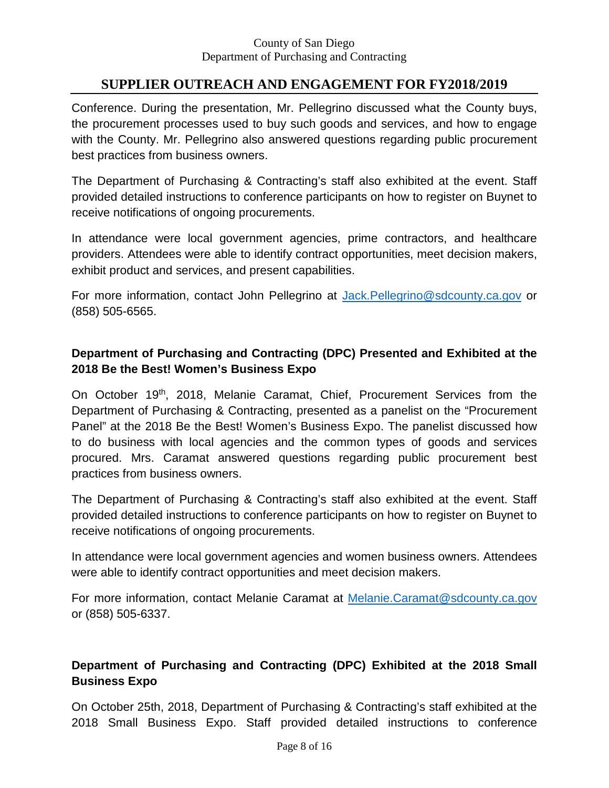# **SUPPLIER OUTREACH AND ENGAGEMENT FOR FY2018/2019**

Conference. During the presentation, Mr. Pellegrino discussed what the County buys, the procurement processes used to buy such goods and services, and how to engage with the County. Mr. Pellegrino also answered questions regarding public procurement best practices from business owners.

The Department of Purchasing & Contracting's staff also exhibited at the event. Staff provided detailed instructions to conference participants on how to register on Buynet to receive notifications of ongoing procurements.

In attendance were local government agencies, prime contractors, and healthcare providers. Attendees were able to identify contract opportunities, meet decision makers, exhibit product and services, and present capabilities.

For more information, contact John Pellegrino at [Jack.Pellegrino@sdcounty.ca.gov](mailto:Jack.Pellegrino@sdcounty.ca.gov) or (858) 505-6565.

## **Department of Purchasing and Contracting (DPC) Presented and Exhibited at the 2018 Be the Best! Women's Business Expo**

On October 19th, 2018, Melanie Caramat, Chief, Procurement Services from the Department of Purchasing & Contracting, presented as a panelist on the "Procurement Panel" at the 2018 Be the Best! Women's Business Expo. The panelist discussed how to do business with local agencies and the common types of goods and services procured. Mrs. Caramat answered questions regarding public procurement best practices from business owners.

The Department of Purchasing & Contracting's staff also exhibited at the event. Staff provided detailed instructions to conference participants on how to register on Buynet to receive notifications of ongoing procurements.

In attendance were local government agencies and women business owners. Attendees were able to identify contract opportunities and meet decision makers.

For more information, contact Melanie Caramat at [Melanie.Caramat@sdcounty.ca.gov](mailto:Melanie.Caramat@sdcounty.ca.gov) or (858) 505-6337.

# **Department of Purchasing and Contracting (DPC) Exhibited at the 2018 Small Business Expo**

On October 25th, 2018, Department of Purchasing & Contracting's staff exhibited at the 2018 Small Business Expo. Staff provided detailed instructions to conference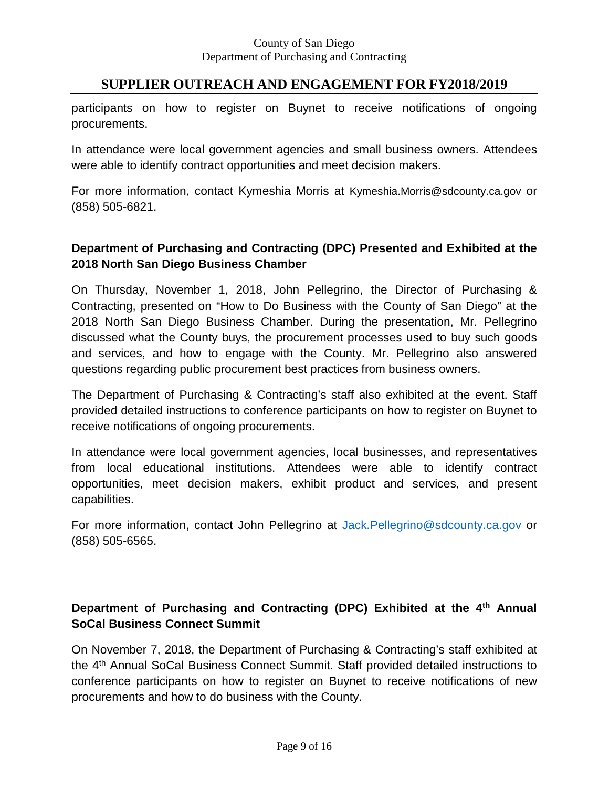## **SUPPLIER OUTREACH AND ENGAGEMENT FOR FY2018/2019**

participants on how to register on Buynet to receive notifications of ongoing procurements.

In attendance were local government agencies and small business owners. Attendees were able to identify contract opportunities and meet decision makers.

For more information, contact Kymeshia Morris at [Kymeshia.Morris@sdcounty.ca.gov](mailto:Kymeshia.Morris@sdcounty.ca.gov) or (858) 505-6821.

## **Department of Purchasing and Contracting (DPC) Presented and Exhibited at the 2018 North San Diego Business Chamber**

On Thursday, November 1, 2018, John Pellegrino, the Director of Purchasing & Contracting, presented on "How to Do Business with the County of San Diego" at the 2018 North San Diego Business Chamber. During the presentation, Mr. Pellegrino discussed what the County buys, the procurement processes used to buy such goods and services, and how to engage with the County. Mr. Pellegrino also answered questions regarding public procurement best practices from business owners.

The Department of Purchasing & Contracting's staff also exhibited at the event. Staff provided detailed instructions to conference participants on how to register on Buynet to receive notifications of ongoing procurements.

In attendance were local government agencies, local businesses, and representatives from local educational institutions. Attendees were able to identify contract opportunities, meet decision makers, exhibit product and services, and present capabilities.

For more information, contact John Pellegrino at [Jack.Pellegrino@sdcounty.ca.gov](mailto:Jack.Pellegrino@sdcounty.ca.gov) or (858) 505-6565.

# **Department of Purchasing and Contracting (DPC) Exhibited at the 4th Annual SoCal Business Connect Summit**

On November 7, 2018, the Department of Purchasing & Contracting's staff exhibited at the 4th Annual SoCal Business Connect Summit. Staff provided detailed instructions to conference participants on how to register on Buynet to receive notifications of new procurements and how to do business with the County.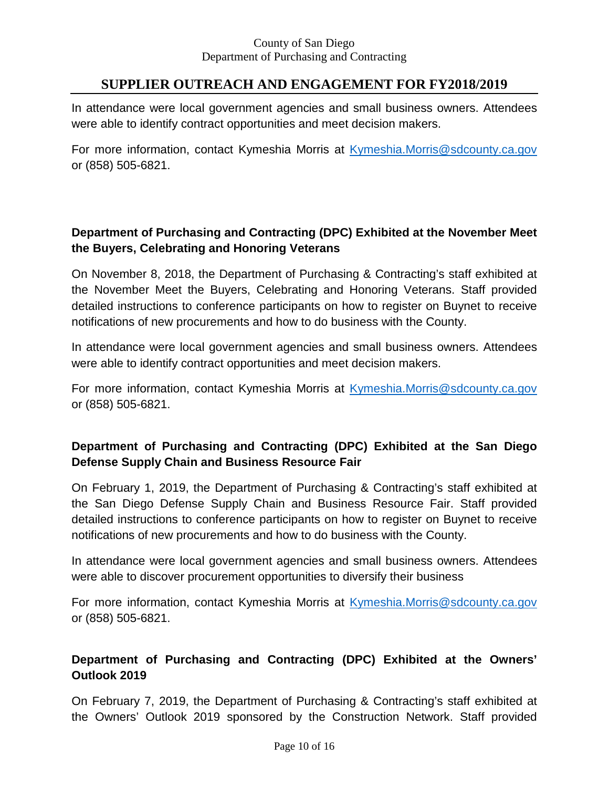# **SUPPLIER OUTREACH AND ENGAGEMENT FOR FY2018/2019**

In attendance were local government agencies and small business owners. Attendees were able to identify contract opportunities and meet decision makers.

For more information, contact Kymeshia Morris at [Kymeshia.Morris@sdcounty.ca.gov](mailto:Kymeshia.Morris@sdcounty.ca.gov) or (858) 505-6821.

# **Department of Purchasing and Contracting (DPC) Exhibited at the November Meet the Buyers, Celebrating and Honoring Veterans**

On November 8, 2018, the Department of Purchasing & Contracting's staff exhibited at the November Meet the Buyers, Celebrating and Honoring Veterans. Staff provided detailed instructions to conference participants on how to register on Buynet to receive notifications of new procurements and how to do business with the County.

In attendance were local government agencies and small business owners. Attendees were able to identify contract opportunities and meet decision makers.

For more information, contact Kymeshia Morris at [Kymeshia.Morris@sdcounty.ca.gov](mailto:Kymeshia.Morris@sdcounty.ca.gov) or (858) 505-6821.

# **Department of Purchasing and Contracting (DPC) Exhibited at the San Diego Defense Supply Chain and Business Resource Fair**

On February 1, 2019, the Department of Purchasing & Contracting's staff exhibited at the San Diego Defense Supply Chain and Business Resource Fair. Staff provided detailed instructions to conference participants on how to register on Buynet to receive notifications of new procurements and how to do business with the County.

In attendance were local government agencies and small business owners. Attendees were able to discover procurement opportunities to diversify their business

For more information, contact Kymeshia Morris at [Kymeshia.Morris@sdcounty.ca.gov](mailto:Kymeshia.Morris@sdcounty.ca.gov) or (858) 505-6821.

# **Department of Purchasing and Contracting (DPC) Exhibited at the Owners' Outlook 2019**

On February 7, 2019, the Department of Purchasing & Contracting's staff exhibited at the Owners' Outlook 2019 sponsored by the Construction Network. Staff provided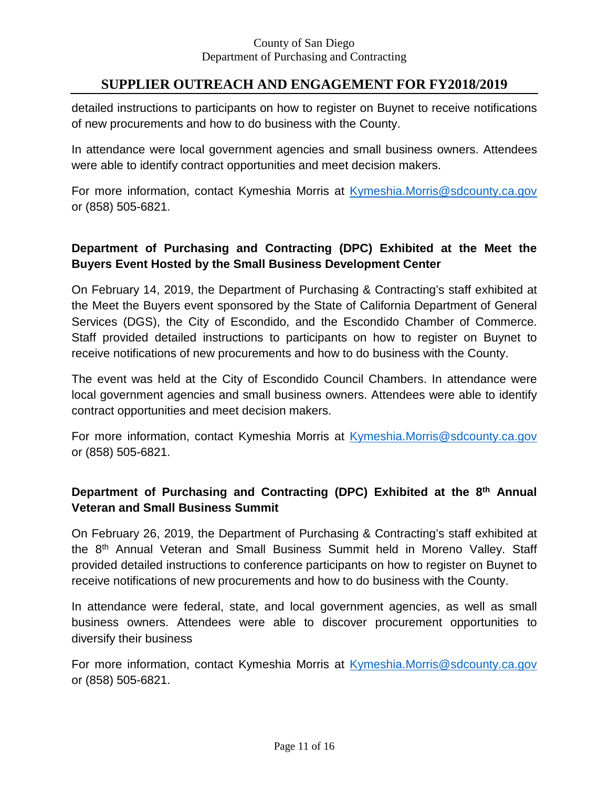# **SUPPLIER OUTREACH AND ENGAGEMENT FOR FY2018/2019**

detailed instructions to participants on how to register on Buynet to receive notifications of new procurements and how to do business with the County.

In attendance were local government agencies and small business owners. Attendees were able to identify contract opportunities and meet decision makers.

For more information, contact Kymeshia Morris at [Kymeshia.Morris@sdcounty.ca.gov](mailto:Kymeshia.Morris@sdcounty.ca.gov) or (858) 505-6821.

## **Department of Purchasing and Contracting (DPC) Exhibited at the Meet the Buyers Event Hosted by the Small Business Development Center**

On February 14, 2019, the Department of Purchasing & Contracting's staff exhibited at the Meet the Buyers event sponsored by the State of California Department of General Services (DGS), the City of Escondido, and the Escondido Chamber of Commerce. Staff provided detailed instructions to participants on how to register on Buynet to receive notifications of new procurements and how to do business with the County.

The event was held at the City of Escondido Council Chambers. In attendance were local government agencies and small business owners. Attendees were able to identify contract opportunities and meet decision makers.

For more information, contact Kymeshia Morris at [Kymeshia.Morris@sdcounty.ca.gov](mailto:Kymeshia.Morris@sdcounty.ca.gov) or (858) 505-6821.

## **Department of Purchasing and Contracting (DPC) Exhibited at the 8th Annual Veteran and Small Business Summit**

On February 26, 2019, the Department of Purchasing & Contracting's staff exhibited at the 8th Annual Veteran and Small Business Summit held in Moreno Valley. Staff provided detailed instructions to conference participants on how to register on Buynet to receive notifications of new procurements and how to do business with the County.

In attendance were federal, state, and local government agencies, as well as small business owners. Attendees were able to discover procurement opportunities to diversify their business

For more information, contact Kymeshia Morris at [Kymeshia.Morris@sdcounty.ca.gov](mailto:Kymeshia.Morris@sdcounty.ca.gov) or (858) 505-6821.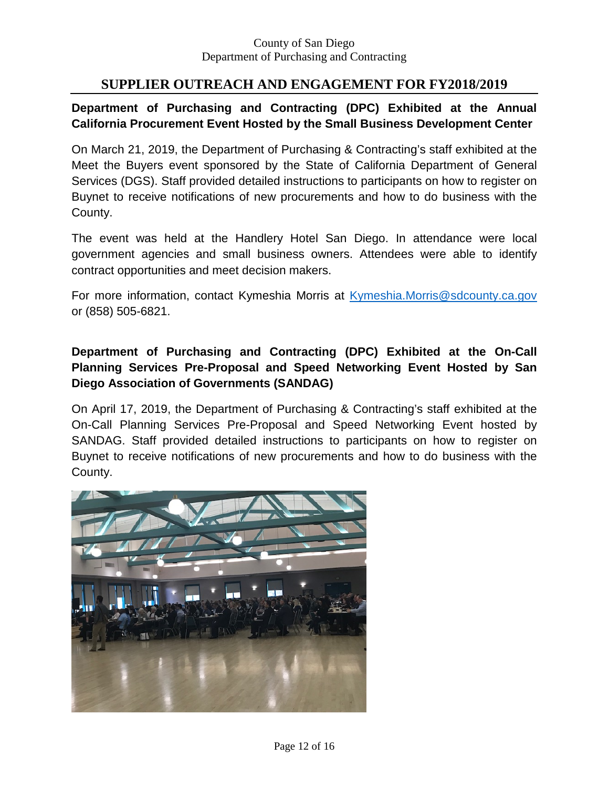## **SUPPLIER OUTREACH AND ENGAGEMENT FOR FY2018/2019**

## **Department of Purchasing and Contracting (DPC) Exhibited at the Annual California Procurement Event Hosted by the Small Business Development Center**

On March 21, 2019, the Department of Purchasing & Contracting's staff exhibited at the Meet the Buyers event sponsored by the State of California Department of General Services (DGS). Staff provided detailed instructions to participants on how to register on Buynet to receive notifications of new procurements and how to do business with the County.

The event was held at the Handlery Hotel San Diego. In attendance were local government agencies and small business owners. Attendees were able to identify contract opportunities and meet decision makers.

For more information, contact Kymeshia Morris at [Kymeshia.Morris@sdcounty.ca.gov](mailto:Kymeshia.Morris@sdcounty.ca.gov) or (858) 505-6821.

## **Department of Purchasing and Contracting (DPC) Exhibited at the On-Call Planning Services Pre-Proposal and Speed Networking Event Hosted by San Diego Association of Governments (SANDAG)**

On April 17, 2019, the Department of Purchasing & Contracting's staff exhibited at the On-Call Planning Services Pre-Proposal and Speed Networking Event hosted by SANDAG. Staff provided detailed instructions to participants on how to register on Buynet to receive notifications of new procurements and how to do business with the County.

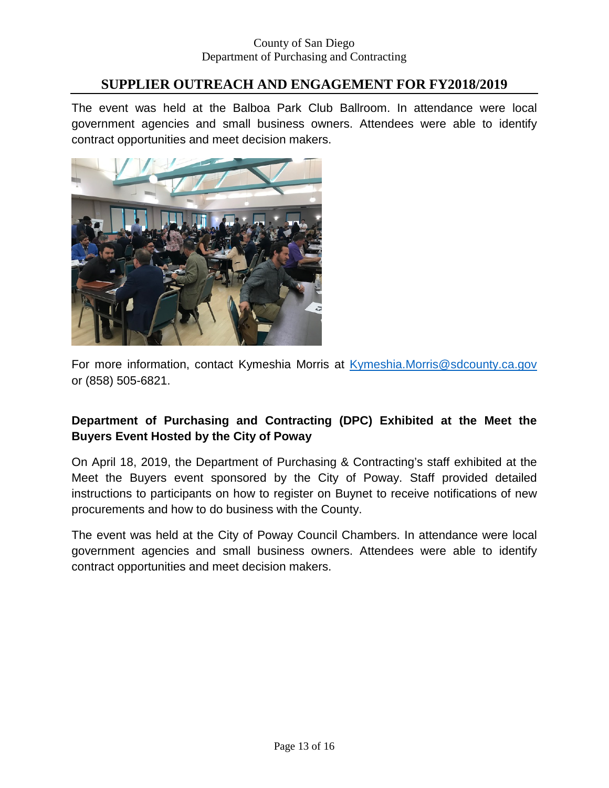# **SUPPLIER OUTREACH AND ENGAGEMENT FOR FY2018/2019**

The event was held at the Balboa Park Club Ballroom. In attendance were local government agencies and small business owners. Attendees were able to identify contract opportunities and meet decision makers.



For more information, contact Kymeshia Morris at [Kymeshia.Morris@sdcounty.ca.gov](mailto:Kymeshia.Morris@sdcounty.ca.gov) or (858) 505-6821.

## **Department of Purchasing and Contracting (DPC) Exhibited at the Meet the Buyers Event Hosted by the City of Poway**

On April 18, 2019, the Department of Purchasing & Contracting's staff exhibited at the Meet the Buyers event sponsored by the City of Poway. Staff provided detailed instructions to participants on how to register on Buynet to receive notifications of new procurements and how to do business with the County.

The event was held at the City of Poway Council Chambers. In attendance were local government agencies and small business owners. Attendees were able to identify contract opportunities and meet decision makers.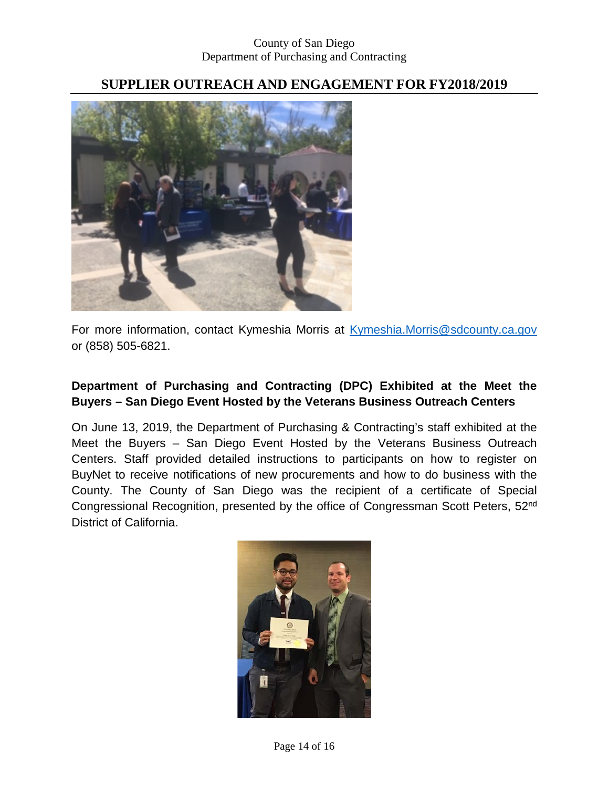# **SUPPLIER OUTREACH AND ENGAGEMENT FOR FY2018/2019**



For more information, contact Kymeshia Morris at [Kymeshia.Morris@sdcounty.ca.gov](mailto:Kymeshia.Morris@sdcounty.ca.gov) or (858) 505-6821.

## **Department of Purchasing and Contracting (DPC) Exhibited at the Meet the Buyers – San Diego Event Hosted by the Veterans Business Outreach Centers**

On June 13, 2019, the Department of Purchasing & Contracting's staff exhibited at the Meet the Buyers – San Diego Event Hosted by the Veterans Business Outreach Centers. Staff provided detailed instructions to participants on how to register on BuyNet to receive notifications of new procurements and how to do business with the County. The County of San Diego was the recipient of a certificate of Special Congressional Recognition, presented by the office of Congressman Scott Peters, 52nd District of California.

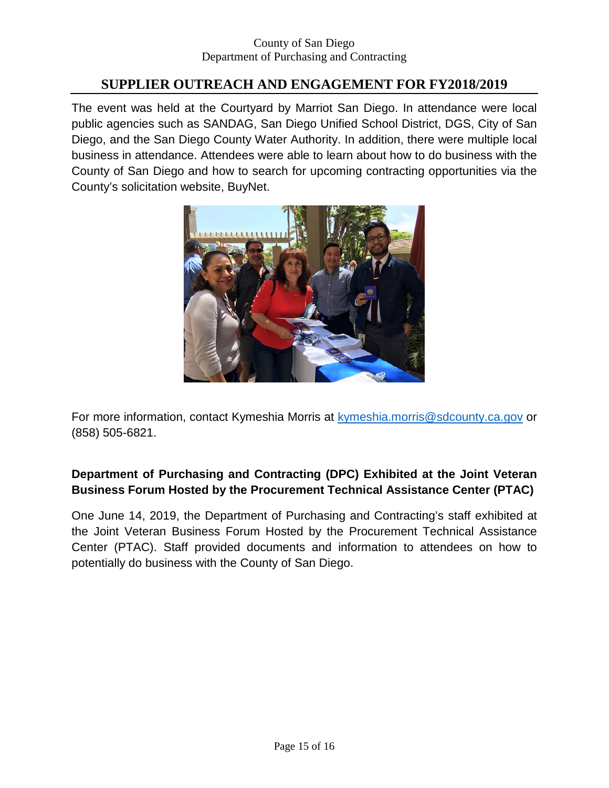# **SUPPLIER OUTREACH AND ENGAGEMENT FOR FY2018/2019**

The event was held at the Courtyard by Marriot San Diego. In attendance were local public agencies such as SANDAG, San Diego Unified School District, DGS, City of San Diego, and the San Diego County Water Authority. In addition, there were multiple local business in attendance. Attendees were able to learn about how to do business with the County of San Diego and how to search for upcoming contracting opportunities via the County's solicitation website, BuyNet.



For more information, contact Kymeshia Morris at [kymeshia.morris@sdcounty.ca.gov](mailto:kymeshia.morris@sdcounty.ca.gov) or (858) 505-6821.

## **Department of Purchasing and Contracting (DPC) Exhibited at the Joint Veteran Business Forum Hosted by the Procurement Technical Assistance Center (PTAC)**

One June 14, 2019, the Department of Purchasing and Contracting's staff exhibited at the Joint Veteran Business Forum Hosted by the Procurement Technical Assistance Center (PTAC). Staff provided documents and information to attendees on how to potentially do business with the County of San Diego.